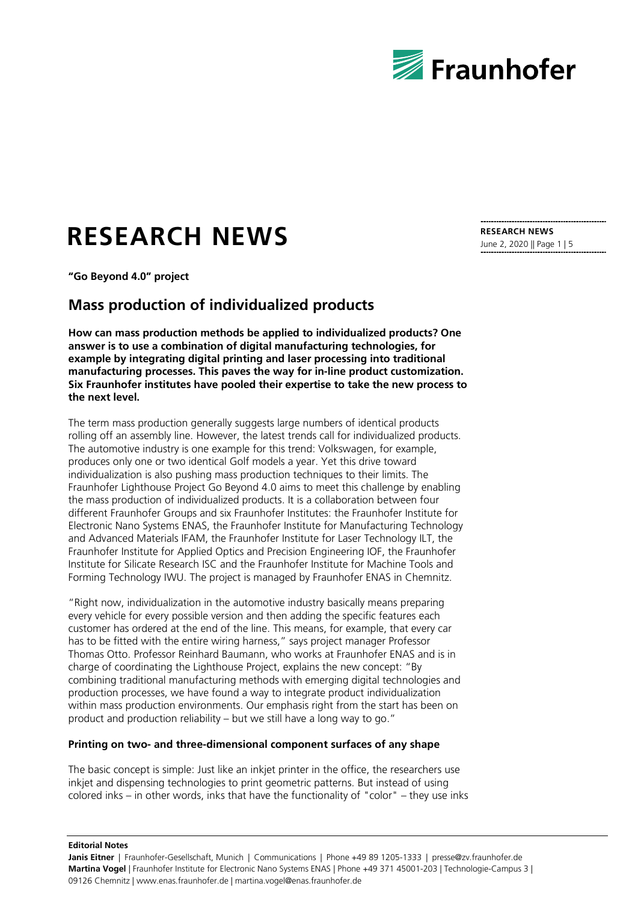

# **RESEARCH NEWS**

**"Go Beyond 4.0" project**

## **Mass production of individualized products**

**How can mass production methods be applied to individualized products? One answer is to use a combination of digital manufacturing technologies, for example by integrating digital printing and laser processing into traditional manufacturing processes. This paves the way for in-line product customization. Six Fraunhofer institutes have pooled their expertise to take the new process to the next level.**

The term mass production generally suggests large numbers of identical products rolling off an assembly line. However, the latest trends call for individualized products. The automotive industry is one example for this trend: Volkswagen, for example, produces only one or two identical Golf models a year. Yet this drive toward individualization is also pushing mass production techniques to their limits. The Fraunhofer Lighthouse Project Go Beyond 4.0 aims to meet this challenge by enabling the mass production of individualized products. It is a collaboration between four different Fraunhofer Groups and six Fraunhofer Institutes: the Fraunhofer Institute for Electronic Nano Systems ENAS, the Fraunhofer Institute for Manufacturing Technology and Advanced Materials IFAM, the Fraunhofer Institute for Laser Technology ILT, the Fraunhofer Institute for Applied Optics and Precision Engineering IOF, the Fraunhofer Institute for Silicate Research ISC and the Fraunhofer Institute for Machine Tools and Forming Technology IWU. The project is managed by Fraunhofer ENAS in Chemnitz.

"Right now, individualization in the automotive industry basically means preparing every vehicle for every possible version and then adding the specific features each customer has ordered at the end of the line. This means, for example, that every car has to be fitted with the entire wiring harness," says project manager Professor Thomas Otto. Professor Reinhard Baumann, who works at Fraunhofer ENAS and is in charge of coordinating the Lighthouse Project, explains the new concept: "By combining traditional manufacturing methods with emerging digital technologies and production processes, we have found a way to integrate product individualization within mass production environments. Our emphasis right from the start has been on product and production reliability – but we still have a long way to go."

#### **Printing on two- and three-dimensional component surfaces of any shape**

The basic concept is simple: Just like an inkjet printer in the office, the researchers use inkjet and dispensing technologies to print geometric patterns. But instead of using colored inks – in other words, inks that have the functionality of "color" – they use inks

**RESEARCH NEWS** June 2, 2020 || Page 1 | 5

**Editorial Notes**

**Janis Eitner** | Fraunhofer-Gesellschaft, Munich | Communications | Phone +49 89 1205-1333 | presse@zv.fraunhofer.de **Martina Vogel** | Fraunhofer Institute for Electronic Nano Systems ENAS | Phone +49 371 45001-203 | Technologie-Campus 3 | 09126 Chemnitz | www.enas.fraunhofer.de | martina.vogel@enas.fraunhofer.de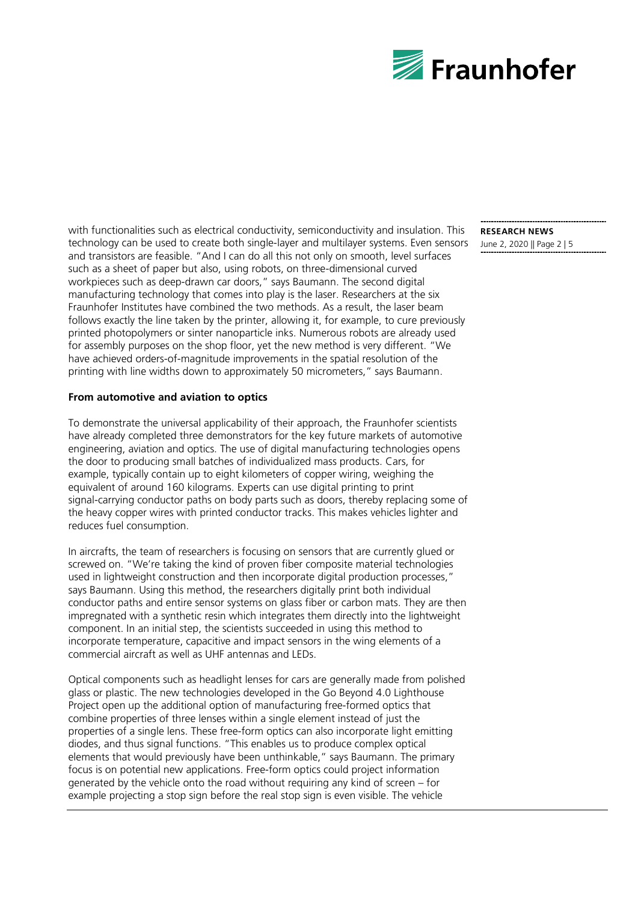

with functionalities such as electrical conductivity, semiconductivity and insulation. This technology can be used to create both single-layer and multilayer systems. Even sensors and transistors are feasible. "And I can do all this not only on smooth, level surfaces such as a sheet of paper but also, using robots, on three-dimensional curved workpieces such as deep-drawn car doors," says Baumann. The second digital manufacturing technology that comes into play is the laser. Researchers at the six Fraunhofer Institutes have combined the two methods. As a result, the laser beam follows exactly the line taken by the printer, allowing it, for example, to cure previously printed photopolymers or sinter nanoparticle inks. Numerous robots are already used for assembly purposes on the shop floor, yet the new method is very different. "We have achieved orders-of-magnitude improvements in the spatial resolution of the printing with line widths down to approximately 50 micrometers," says Baumann.

#### **From automotive and aviation to optics**

To demonstrate the universal applicability of their approach, the Fraunhofer scientists have already completed three demonstrators for the key future markets of automotive engineering, aviation and optics. The use of digital manufacturing technologies opens the door to producing small batches of individualized mass products. Cars, for example, typically contain up to eight kilometers of copper wiring, weighing the equivalent of around 160 kilograms. Experts can use digital printing to print signal-carrying conductor paths on body parts such as doors, thereby replacing some of the heavy copper wires with printed conductor tracks. This makes vehicles lighter and reduces fuel consumption.

In aircrafts, the team of researchers is focusing on sensors that are currently glued or screwed on. "We're taking the kind of proven fiber composite material technologies used in lightweight construction and then incorporate digital production processes," says Baumann. Using this method, the researchers digitally print both individual conductor paths and entire sensor systems on glass fiber or carbon mats. They are then impregnated with a synthetic resin which integrates them directly into the lightweight component. In an initial step, the scientists succeeded in using this method to incorporate temperature, capacitive and impact sensors in the wing elements of a commercial aircraft as well as UHF antennas and LEDs.

Optical components such as headlight lenses for cars are generally made from polished glass or plastic. The new technologies developed in the Go Beyond 4.0 Lighthouse Project open up the additional option of manufacturing free-formed optics that combine properties of three lenses within a single element instead of just the properties of a single lens. These free-form optics can also incorporate light emitting diodes, and thus signal functions. "This enables us to produce complex optical elements that would previously have been unthinkable," says Baumann. The primary focus is on potential new applications. Free-form optics could project information generated by the vehicle onto the road without requiring any kind of screen – for example projecting a stop sign before the real stop sign is even visible. The vehicle

**RESEARCH NEWS** June 2, 2020 || Page 2 | 5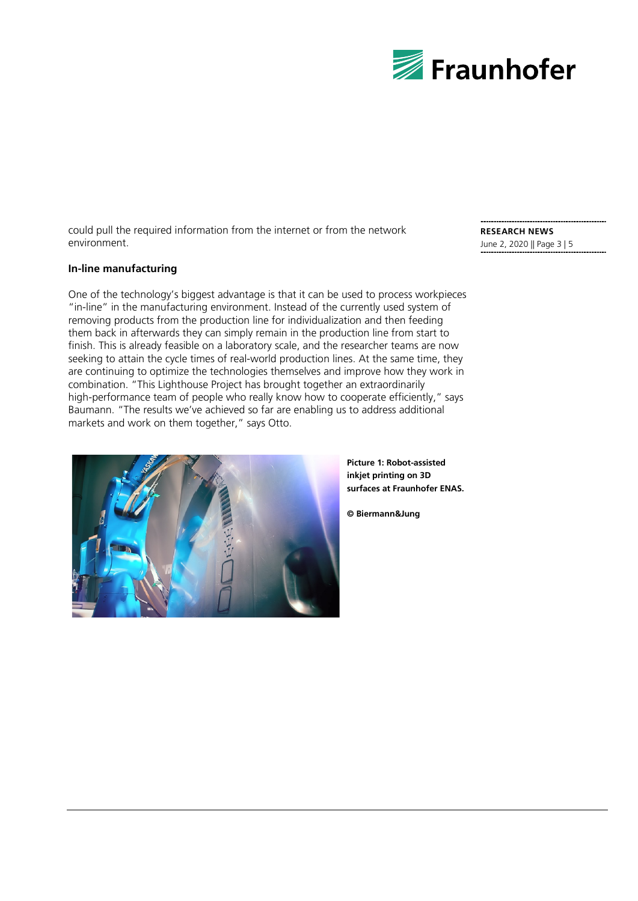

could pull the required information from the internet or from the network environment.

### **In-line manufacturing**

One of the technology's biggest advantage is that it can be used to process workpieces "in-line" in the manufacturing environment. Instead of the currently used system of removing products from the production line for individualization and then feeding them back in afterwards they can simply remain in the production line from start to finish. This is already feasible on a laboratory scale, and the researcher teams are now seeking to attain the cycle times of real-world production lines. At the same time, they are continuing to optimize the technologies themselves and improve how they work in combination. "This Lighthouse Project has brought together an extraordinarily high-performance team of people who really know how to cooperate efficiently," says Baumann. "The results we've achieved so far are enabling us to address additional markets and work on them together," says Otto.



**Picture 1: Robot-assisted inkjet printing on 3D surfaces at Fraunhofer ENAS.**

**© Biermann&Jung**

**RESEARCH NEWS** June 2, 2020 || Page 3 | 5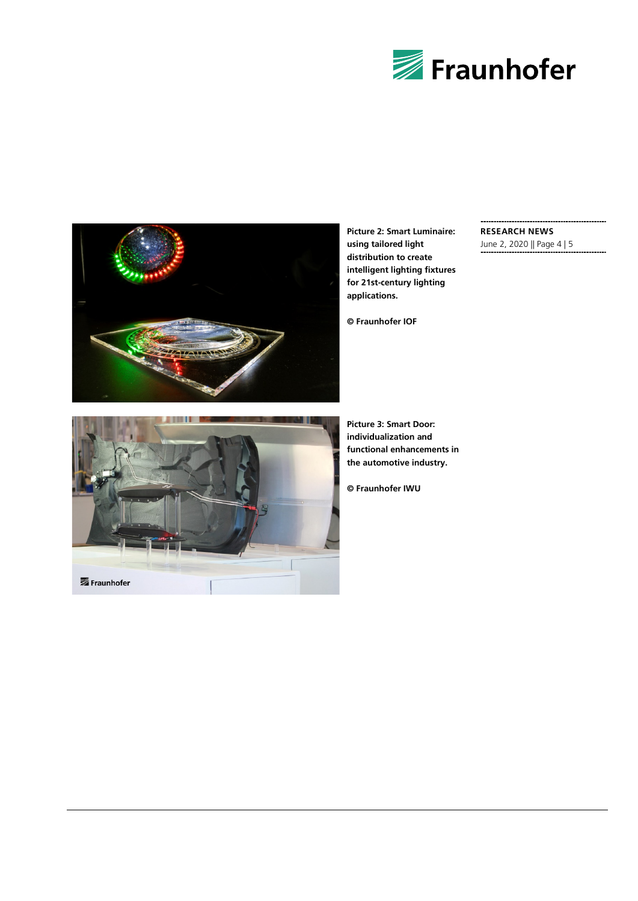



**Picture 2: Smart Luminaire: using tailored light distribution to create intelligent lighting fixtures for 21st-century lighting applications.**

**© Fraunhofer IOF**

#### **RESEARCH NEWS**

June 2, 2020 || Page 4 | 5



**Picture 3: Smart Door: individualization and functional enhancements in the automotive industry.**

**© Fraunhofer IWU**